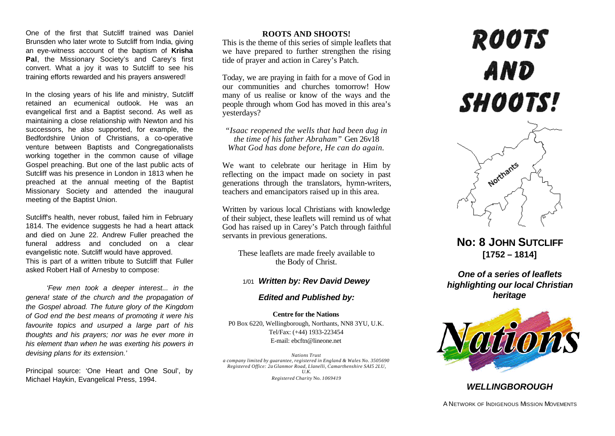One of the first that Sutcliff trained was Daniel Brunsden who later wrote to Sutcliff from India, giving an eye-witness account of the baptism of **Krisha Pal**, the Missionary Society's and Carey's first convert. What a joy it was to Sutcliff to see his training efforts rewarded and his prayers answered!

In the closing years of his life and ministry, Sutcliff retained an ecumenical outlook. He was an evangelical first and a Baptist second. As well as maintaining a close relationship with Newton and his successors, he also supported, for example, the Bedfordshire Union of Christians, a co-operative venture between Baptists and Congregationalists working together in the common cause of village Gospel preaching. But one of the last public acts of Sutcliff was his presence in London in 1813 when he preached at the annual meeting of the Baptist Missionary Society and attended the inaugural meeting of the Baptist Union.

Sutcliff's health, never robust, failed him in February 1814. The evidence suggests he had a heart attack and died on June 22. Andrew Fuller preached the funeral address and concluded on a clear evangelistic note. Sutcliff would have approved. This is part of a written tribute to Sutcliff that Fuller asked Robert Hall of Arnesby to compose:

*'Few men took a deeper interest... in the genera! state of the church and the propagation of the Gospel abroad. The future glory of the Kingdom of God end the best means of promoting it were his favourite topics and usurped a large part of his thoughts and his prayers; nor was he ever more in his element than when he was exerting his powers in devising plans for its extension.'*

Principal source: 'One Heart and One Soul', by Michael Haykin, Evangelical Press, 1994.

#### **ROOTS AND SHOOTS!**

This is the theme of this series of simple leaflets that we have prepared to further strengthen the rising tide of prayer and action in Carey's Patch.

Today, we are praying in faith for a move of God in our communities and churches tomorrow! How many of us realise or know of the ways and the people through whom God has moved in this area's yesterdays?

*"Isaac reopened the wells that had been dug in the time of his father Abraham"* Gen 26v18 *What God has done before, He can do again.*

We want to celebrate our heritage in Him by reflecting on the impact made on society in past generations through the translators, hymn-writers, teachers and emancipators raised up in this area.

Written by various local Christians with knowledge of their subject, these leaflets will remind us of what God has raised up in Carey's Patch through faithful servants in previous generations.

These leaflets are made freely available to the Body of Christ.

## 1/01 *Written by: Rev David Dewey*

### *Edited and Published by:*

**Centre for the Nations** P0 Box 6220, Wellingborough, Northants, NN8 3YU, U.K. Tel/Fax: (+44) 1933-223454 E-mail: ebcftn@lineone.net

*Nations Trust a company limited by guarantee, registered in England & Wales No. 3505690 Registered Office: 2a Glanmor Road, Llanelli, Camarthenshire SAI5 2LU, U.K. Registered Charity* No. *1069419*

# **ROOTS** AND SHOOTS!



**No: 8 JOHN SUTCLIFF [1752 – 1814]**

*One of a series of leaflets highlighting our local Christian heritage*



## *WELLINGBOROUGH*